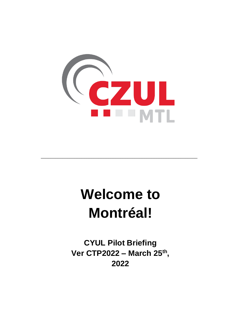

# **Welcome to Montréal!**

\_\_\_\_\_\_\_\_\_\_\_\_\_\_\_\_\_\_\_\_\_\_\_\_\_\_\_\_\_\_\_\_\_\_\_\_\_\_\_\_\_\_\_\_\_\_\_\_\_\_\_\_\_\_\_\_\_\_\_\_\_\_\_\_\_

**CYUL Pilot Briefing Ver CTP2022 – March 25 th , 2022**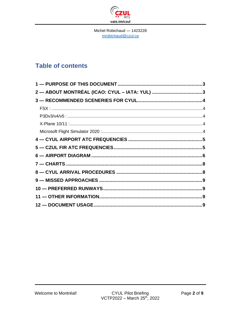

Michel Robichaud - 1423228 mrobichaud@czul.ca

# **Table of contents**

| 2 — ABOUT MONTRÉAL (ICAO: CYUL – IATA: YUL) 3 |
|-----------------------------------------------|
|                                               |
|                                               |
|                                               |
|                                               |
|                                               |
|                                               |
|                                               |
|                                               |
|                                               |
|                                               |
|                                               |
|                                               |
|                                               |
|                                               |
|                                               |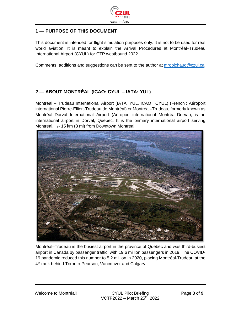

#### <span id="page-2-0"></span>**1 — PURPOSE OF THIS DOCUMENT**

This document is intended for flight simulation purposes only. It is not to be used for real world aviation. It is meant to explain the Arrival Procedures at Montréal–Trudeau International Airport (CYUL) for CTP westbound 2022.

Comments, additions and suggestions can be sent to the author at [mrobichaud@czul.ca](mailto:mrobichaud@czul.ca)

#### <span id="page-2-1"></span>**2 — ABOUT MONTRÉAL (ICAO: CYUL – IATA: YUL)**

Montréal – Trudeau International Airport (IATA: YUL, ICAO : CYUL) (French : Aéroport international Pierre-Elliott-Trudeau de Montréal) or Montréal–Trudeau, formerly known as Montréal–Dorval International Airport (Aéroport international Montréal-Dorval), is an international airport in Dorval, Quebec. It is the primary international airport serving Montreal, +/- 15 km (8 mi) from Downtown Montreal.



Montréal–Trudeau is the busiest airport in the province of Quebec and was third-busiest airport in Canada by passenger traffic, with 19.6 million passengers in 2019. The COVID-19 pandemic reduced this number to 5.2 million in 2020, placing Montréal-Trudeau at the 4<sup>th</sup> rank behind Toronto-Pearson, Vancouver and Calgary.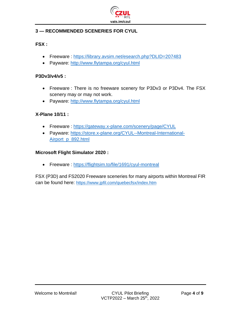

# <span id="page-3-0"></span>**3 — RECOMMENDED SCENERIES FOR CYUL**

#### <span id="page-3-1"></span>**FSX :**

- Freeware :<https://library.avsim.net/esearch.php?DLID=207483>
- Payware:<http://www.flytampa.org/cyul.html>

#### <span id="page-3-2"></span>**P3Dv3/v4/v5 :**

- Freeware : There is no freeware scenery for P3Dv3 or P3Dv4. The FSX scenery may or may not work.
- Payware:<http://www.flytampa.org/cyul.html>

#### <span id="page-3-3"></span>**X-Plane 10/11 :**

- Freeware:<https://gateway.x-plane.com/scenery/page/CYUL>
- Payware: [https://store.x-plane.org/CYUL--Montreal-International-](https://store.x-plane.org/CYUL--Montreal-International-Airport_p_892.html)[Airport\\_p\\_892.html](https://store.x-plane.org/CYUL--Montreal-International-Airport_p_892.html)

#### <span id="page-3-4"></span>**Microsoft Flight Simulator 2020 :**

• Freeware :<https://flightsim.to/file/1691/cyul-montreal>

FSX (P3D) and FS2020 Freeware sceneries for many airports within Montreal FIR can be found here: <https://www.jpfil.com/quebecfsx/index.htm>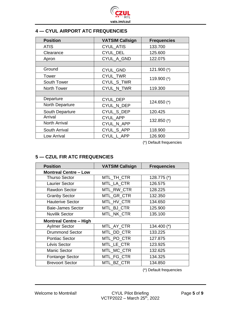

# <span id="page-4-0"></span>**4 — CYUL AIRPORT ATC FREQUENCIES**

| <b>Position</b>      | <b>VATSIM Callsign</b> | <b>Frequencies</b> |
|----------------------|------------------------|--------------------|
| <b>ATIS</b>          | CYUL_ATIS              | 133.700            |
| Clearance            | CYUL_DEL               | 125.600            |
| Apron                | CYUL_A_GND             | 122.075            |
|                      |                        |                    |
| Ground               | CYUL_GND               | 121.900 (*)        |
| Tower                | CYUL_TWR               | 119.900 (*)        |
| South Tower          | CYUL_S_TWR             |                    |
| North Tower          | CYUL_N_TWR             | 119.300            |
|                      |                        |                    |
| Departure            | CYUL_DEP               | 124.650 (*)        |
| North Departure      | CYUL_N_DEP             |                    |
| South Departure      | CYUL_S_DEP             | 120.425            |
| Arrival              | <b>CYUL APP</b>        | 132.850 (*)        |
| <b>North Arrival</b> | CYUL_N_APP             |                    |
| South Arrival        | CYUL_S_APP             | 118.900            |
| Low Arrival          | CYUL L APP             | 126.900            |

(\*) Default frequencies

# <span id="page-4-1"></span>**5 — CZUL FIR ATC FREQUENCIES**

| <b>Position</b>               | <b>VATSIM Callsign</b> | <b>Frequencies</b> |  |  |
|-------------------------------|------------------------|--------------------|--|--|
| <b>Montreal Centre - Low</b>  |                        |                    |  |  |
| <b>Thurso Sector</b>          | MTL_TH_CTR             | 128.775 (*)        |  |  |
| <b>Laurier Sector</b>         | MTL LA CTR             | 126.575            |  |  |
| Rawdon Sector                 | MTL RW CTR             | 128.225            |  |  |
| <b>Granby Sector</b>          | MTL GR CTR             | 132.350            |  |  |
| <b>Hauterive Sector</b>       | MTL_HV_CTR             | 134.650            |  |  |
| <b>Baie-James Sector</b>      | MTL BJ CTR             | 125.900            |  |  |
| <b>Nuvilik Sector</b>         | MTL NK CTR             | 135.100            |  |  |
| <b>Montreal Centre - High</b> |                        |                    |  |  |
| <b>Aylmer Sector</b>          | MTL_AY_CTR             | 134.400 (*)        |  |  |
| <b>Drummond Sector</b>        | MTL DD CTR             | 133.225            |  |  |
| <b>Pontiac Sector</b>         | MTL_PO_CTR             | 127.875            |  |  |
| Lévis Sector                  | MTL LE CTR             | 123.925            |  |  |
| <b>Manic Sector</b>           | MTL_MC_CTR             | 132.625            |  |  |
| <b>Fontange Sector</b>        | MTL_FG_CTR             | 134.325            |  |  |
| <b>Brevoort Sector</b>        | MTL BZ CTR             | 134.850            |  |  |

(\*) Default frequencies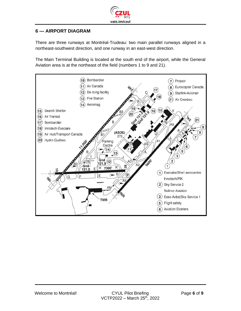

#### <span id="page-5-0"></span>**6 — AIRPORT DIAGRAM**

There are three runways at Montréal-Trudeau: two main parallel runways aligned in a northeast-southwest direction, and one runway in an east-west direction.

The Main Terminal Building is located at the south end of the airport, while the General Aviation area is at the northeast of the field (numbers 1 to 9 and 21).

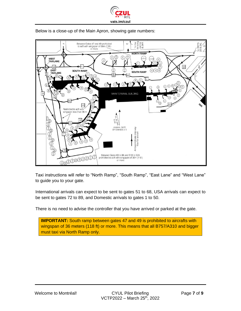



Below is a close-up of the Main Apron, showing gate numbers:

Taxi instructions will refer to "North Ramp", "South Ramp", "East Lane" and "West Lane" to guide you to your gate.

International arrivals can expect to be sent to gates 51 to 68, USA arrivals can expect to be sent to gates 72 to 89, and Domestic arrivals to gates 1 to 50.

There is no need to advise the controller that you have arrived or parked at the gate.

**IMPORTANT:** South ramp between gates 47 and 49 is prohibited to aircrafts with wingspan of 36 meters (118 ft) or more. This means that all B757/A310 and bigger must taxi via North Ramp only.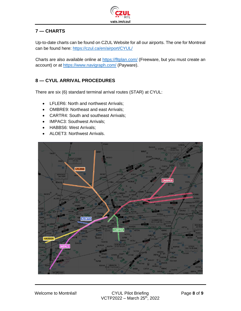

# <span id="page-7-0"></span>**7 — CHARTS**

Up-to-date charts can be found on CZUL Website for all our airports. The one for Montreal can be found here:<https://czul.ca/en/airport/CYUL/>

Charts are also available online at<https://fltplan.com/> (Freeware, but you must create an account) or at<https://www.navigraph.com/> (Payware).

# <span id="page-7-1"></span>**8 — CYUL ARRIVAL PROCEDURES**

There are six (6) standard terminal arrival routes (STAR) at CYUL:

- LFLER6: North and northwest Arrivals;
- OMBRE9: Northeast and east Arrivals;
- CARTR4: South and southeast Arrivals;
- IMPAC3: Southwest Arrivals;
- HABBS6: West Arrivals;
- ALOET3: Northwest Arrivals.